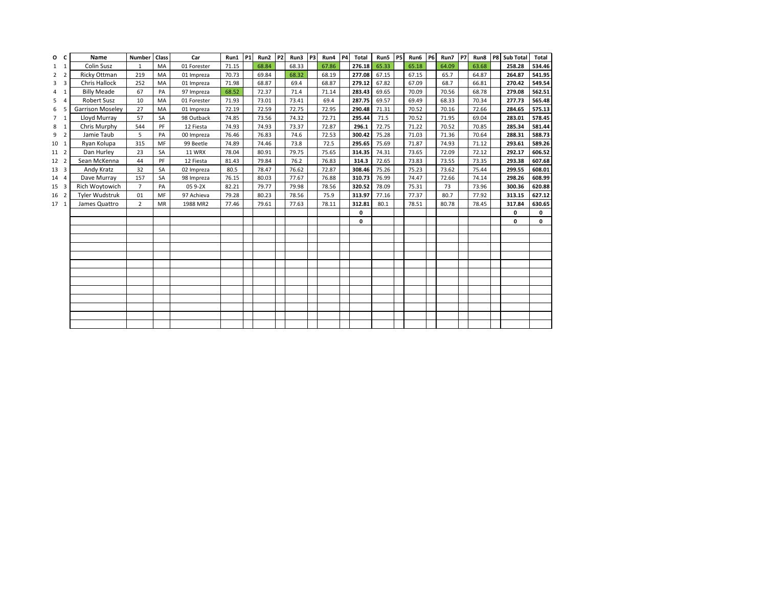| O              | c                       | Name                    | Number         | Class     | Car           | Run1  | <b>P1</b> | Run2  | P <sub>2</sub> | Run3  | P3 | Run4  | <b>P4</b> | Total       | Run5  | <b>P5</b> | Run6  | <b>P6</b> | Run7  | <b>P7</b> | Run8  | P8 | <b>Sub Total</b> | Total  |
|----------------|-------------------------|-------------------------|----------------|-----------|---------------|-------|-----------|-------|----------------|-------|----|-------|-----------|-------------|-------|-----------|-------|-----------|-------|-----------|-------|----|------------------|--------|
| $1 \quad 1$    |                         | Colin Susz              | $\mathbf{1}$   | MA        | 01 Forester   | 71.15 |           | 68.84 |                | 68.33 |    | 67.86 |           | 276.18      | 65.33 |           | 65.18 |           | 64.09 |           | 63.68 |    | 258.28           | 534.46 |
| 2              | $\overline{2}$          | Ricky Ottman            | 219            | MA        | 01 Impreza    | 70.73 |           | 69.84 |                | 68.32 |    | 68.19 |           | 277.08      | 67.15 |           | 67.15 |           | 65.7  |           | 64.87 |    | 264.87           | 541.95 |
| 3              | $\overline{\mathbf{3}}$ | <b>Chris Hallock</b>    | 252            | MA        | 01 Impreza    | 71.98 |           | 68.87 |                | 69.4  |    | 68.87 |           | 279.12      | 67.82 |           | 67.09 |           | 68.7  |           | 66.81 |    | 270.42           | 549.54 |
| 4              | 1                       | <b>Billy Meade</b>      | 67             | PA        | 97 Impreza    | 68.52 |           | 72.37 |                | 71.4  |    | 71.14 |           | 283.43      | 69.65 |           | 70.09 |           | 70.56 |           | 68.78 |    | 279.08           | 562.51 |
| 5              | $\Delta$                | Robert Susz             | 10             | MA        | 01 Forester   | 71.93 |           | 73.01 |                | 73.41 |    | 69.4  |           | 287.75      | 69.57 |           | 69.49 |           | 68.33 |           | 70.34 |    | 277.73           | 565.48 |
| 6              | 5                       | <b>Garrison Moseley</b> | 27             | MA        | 01 Impreza    | 72.19 |           | 72.59 |                | 72.75 |    | 72.95 |           | 290.48      | 71.31 |           | 70.52 |           | 70.16 |           | 72.66 |    | 284.65           | 575.13 |
| $\overline{7}$ | $\mathbf{1}$            | Lloyd Murray            | 57             | SA        | 98 Outback    | 74.85 |           | 73.56 |                | 74.32 |    | 72.71 |           | 295.44      | 71.5  |           | 70.52 |           | 71.95 |           | 69.04 |    | 283.01           | 578.45 |
| 8              | $\mathbf{1}$            | Chris Murphy            | 544            | PF        | 12 Fiesta     | 74.93 |           | 74.93 |                | 73.37 |    | 72.87 |           | 296.1       | 72.75 |           | 71.22 |           | 70.52 |           | 70.85 |    | 285.34           | 581.44 |
| 9              | $\overline{2}$          | Jamie Taub              | 5              | PA        | 00 Impreza    | 76.46 |           | 76.83 |                | 74.6  |    | 72.53 |           | 300.42      | 75.28 |           | 71.03 |           | 71.36 |           | 70.64 |    | 288.31           | 588.73 |
| 10 1           |                         | Ryan Kolupa             | 315            | MF        | 99 Beetle     | 74.89 |           | 74.46 |                | 73.8  |    | 72.5  |           | 295.65      | 75.69 |           | 71.87 |           | 74.93 |           | 71.12 |    | 293.61           | 589.26 |
| 11 2           |                         | Dan Hurley              | 23             | SA        | <b>11 WRX</b> | 78.04 |           | 80.91 |                | 79.75 |    | 75.65 |           | 314.35      | 74.31 |           | 73.65 |           | 72.09 |           | 72.12 |    | 292.17           | 606.52 |
| 12 2           |                         | Sean McKenna            | 44             | PF        | 12 Fiesta     | 81.43 |           | 79.84 |                | 76.2  |    | 76.83 |           | 314.3       | 72.65 |           | 73.83 |           | 73.55 |           | 73.35 |    | 293.38           | 607.68 |
| 13 3           |                         | Andy Kratz              | 32             | SA        | 02 Impreza    | 80.5  |           | 78.47 |                | 76.62 |    | 72.87 |           | 308.46      | 75.26 |           | 75.23 |           | 73.62 |           | 75.44 |    | 299.55           | 608.01 |
| 14             | $\overline{4}$          | Dave Murray             | 157            | SA        | 98 Impreza    | 76.15 |           | 80.03 |                | 77.67 |    | 76.88 |           | 310.73      | 76.99 |           | 74.47 |           | 72.66 |           | 74.14 |    | 298.26           | 608.99 |
| 15             | 3                       | Rich Woytowich          | $\overline{7}$ | PA        | 05 9-2X       | 82.21 |           | 79.77 |                | 79.98 |    | 78.56 |           | 320.52      | 78.09 |           | 75.31 |           | 73    |           | 73.96 |    | 300.36           | 620.88 |
| 16 2           |                         | Tyler Wudstruk          | 01             | MF        | 97 Achieva    | 79.28 |           | 80.23 |                | 78.56 |    | 75.9  |           | 313.97      | 77.16 |           | 77.37 |           | 80.7  |           | 77.92 |    | 313.15           | 627.12 |
| 17 1           |                         | James Quattro           | $\overline{2}$ | <b>MR</b> | 1988 MR2      | 77.46 |           | 79.61 |                | 77.63 |    | 78.11 |           | 312.81      | 80.1  |           | 78.51 |           | 80.78 |           | 78.45 |    | 317.84           | 630.65 |
|                |                         |                         |                |           |               |       |           |       |                |       |    |       |           | 0           |       |           |       |           |       |           |       |    | 0                | 0      |
|                |                         |                         |                |           |               |       |           |       |                |       |    |       |           | $\mathbf 0$ |       |           |       |           |       |           |       |    | 0                | 0      |
|                |                         |                         |                |           |               |       |           |       |                |       |    |       |           |             |       |           |       |           |       |           |       |    |                  |        |
|                |                         |                         |                |           |               |       |           |       |                |       |    |       |           |             |       |           |       |           |       |           |       |    |                  |        |
|                |                         |                         |                |           |               |       |           |       |                |       |    |       |           |             |       |           |       |           |       |           |       |    |                  |        |
|                |                         |                         |                |           |               |       |           |       |                |       |    |       |           |             |       |           |       |           |       |           |       |    |                  |        |
|                |                         |                         |                |           |               |       |           |       |                |       |    |       |           |             |       |           |       |           |       |           |       |    |                  |        |
|                |                         |                         |                |           |               |       |           |       |                |       |    |       |           |             |       |           |       |           |       |           |       |    |                  |        |
|                |                         |                         |                |           |               |       |           |       |                |       |    |       |           |             |       |           |       |           |       |           |       |    |                  |        |
|                |                         |                         |                |           |               |       |           |       |                |       |    |       |           |             |       |           |       |           |       |           |       |    |                  |        |
|                |                         |                         |                |           |               |       |           |       |                |       |    |       |           |             |       |           |       |           |       |           |       |    |                  |        |
|                |                         |                         |                |           |               |       |           |       |                |       |    |       |           |             |       |           |       |           |       |           |       |    |                  |        |
|                |                         |                         |                |           |               |       |           |       |                |       |    |       |           |             |       |           |       |           |       |           |       |    |                  |        |
|                |                         |                         |                |           |               |       |           |       |                |       |    |       |           |             |       |           |       |           |       |           |       |    |                  |        |